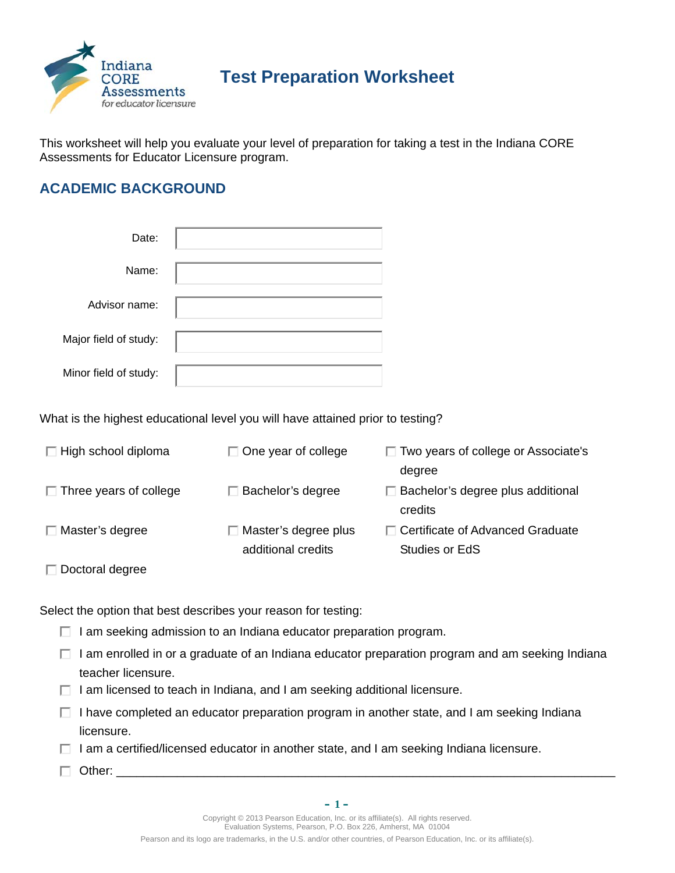

# **Test Preparation Worksheet**

This worksheet will help you evaluate your level of preparation for taking a test in the Indiana CORE Assessments for Educator Licensure program.

# **ACADEMIC BACKGROUND**

| Date:                 |  |
|-----------------------|--|
| Name:                 |  |
| Advisor name:         |  |
| Major field of study: |  |
| Minor field of study: |  |

What is the highest educational level you will have attained prior to testing?

| $\Box$ High school diploma    | $\Box$ One year of college                        | $\Box$ Two years of college or Associate's<br>degree |
|-------------------------------|---------------------------------------------------|------------------------------------------------------|
| $\Box$ Three years of college | □ Bachelor's degree                               | $\Box$ Bachelor's degree plus additional<br>credits  |
| $\Box$ Master's degree        | $\Box$ Master's degree plus<br>additional credits | □ Certificate of Advanced Graduate<br>Studies or EdS |
| Doctoral degree               |                                                   |                                                      |

Select the option that best describes your reason for testing:

- $\Box$  I am seeking admission to an Indiana educator preparation program.
- $\Box$  I am enrolled in or a graduate of an Indiana educator preparation program and am seeking Indiana teacher licensure.
- $\Box$  I am licensed to teach in Indiana, and I am seeking additional licensure.
- $\Box$  I have completed an educator preparation program in another state, and I am seeking Indiana licensure.
- $\Box$  I am a certified/licensed educator in another state, and I am seeking Indiana licensure.
- $\Box$  Other:

**– 1 –**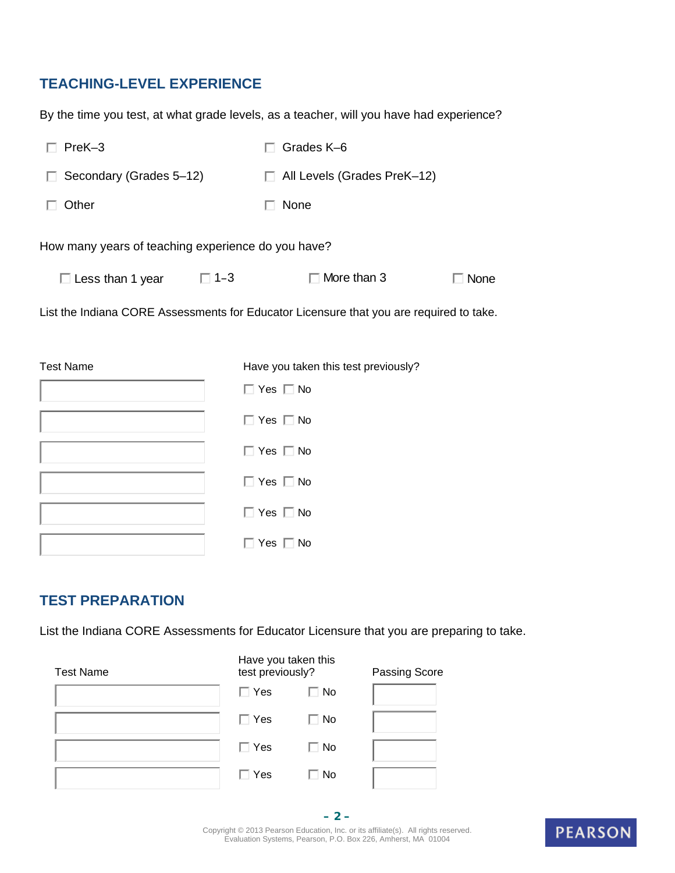# **TEACHING-LEVEL EXPERIENCE**

By the time you test, at what grade levels, as a teacher, will you have had experience?

| PreK-3                                                                                  |            | Grades K-6                           |             |  |
|-----------------------------------------------------------------------------------------|------------|--------------------------------------|-------------|--|
| Secondary (Grades 5-12)                                                                 |            | □ All Levels (Grades PreK-12)        |             |  |
| Other                                                                                   |            | None                                 |             |  |
| How many years of teaching experience do you have?                                      |            |                                      |             |  |
| $\square$ Less than 1 year                                                              | $\Box$ 1-3 | $\Box$ More than 3                   | $\Box$ None |  |
| List the Indiana CORE Assessments for Educator Licensure that you are required to take. |            |                                      |             |  |
| <b>Test Name</b>                                                                        |            | Have you taken this test previously? |             |  |
|                                                                                         |            | $\Box$ Yes $\Box$ No                 |             |  |
|                                                                                         |            | $\Box$ Yes $\Box$ No                 |             |  |
|                                                                                         |            | $\Box$ Yes $\Box$ No                 |             |  |
|                                                                                         |            | $\Box$ Yes $\Box$ No                 |             |  |
|                                                                                         |            | $\Box$ Yes $\Box$ No                 |             |  |
|                                                                                         |            | $\Box$ Yes $\Box$ No                 |             |  |

### **TEST PREPARATION**

List the Indiana CORE Assessments for Educator Licensure that you are preparing to take.

| <b>Test Name</b> | Have you taken this<br>test previously? |           | Passing Score |  |
|------------------|-----------------------------------------|-----------|---------------|--|
|                  | $\Box$ Yes                              | <b>No</b> |               |  |
|                  | $\Box$ Yes                              | $\Box$ No |               |  |
|                  | $\Box$ Yes                              | $\Box$ No |               |  |
|                  | $\Box$ Yes                              | <b>No</b> |               |  |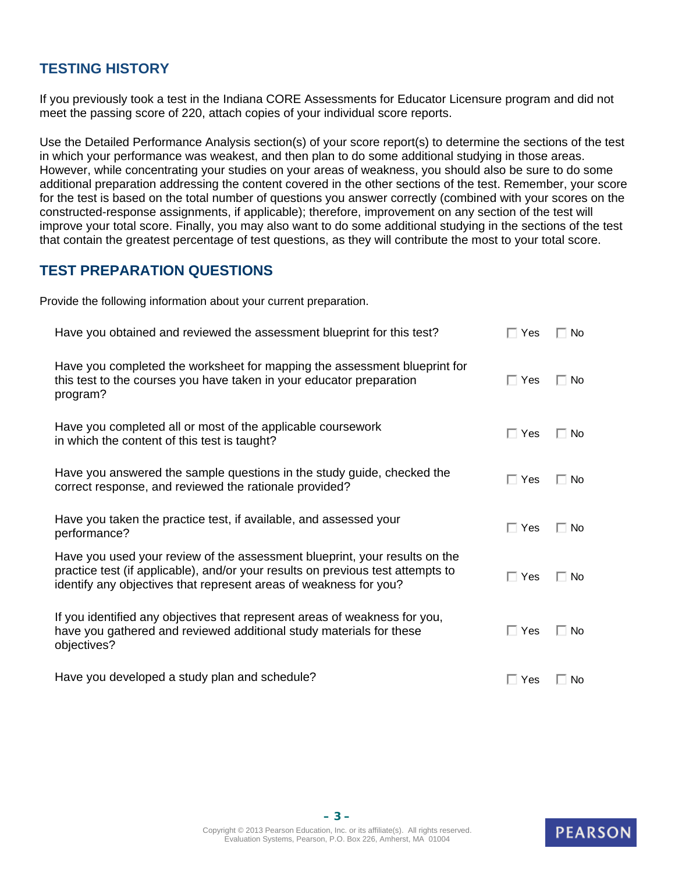## **TESTING HISTORY**

If you previously took a test in the Indiana CORE Assessments for Educator Licensure program and did not meet the passing score of 220, attach copies of your individual score reports.

Use the Detailed Performance Analysis section(s) of your score report(s) to determine the sections of the test in which your performance was weakest, and then plan to do some additional studying in those areas. However, while concentrating your studies on your areas of weakness, you should also be sure to do some additional preparation addressing the content covered in the other sections of the test. Remember, your score for the test is based on the total number of questions you answer correctly (combined with your scores on the constructed-response assignments, if applicable); therefore, improvement on any section of the test will improve your total score. Finally, you may also want to do some additional studying in the sections of the test that contain the greatest percentage of test questions, as they will contribute the most to your total score.

#### **TEST PREPARATION QUESTIONS**

Provide the following information about your current preparation.

| Have you obtained and reviewed the assessment blueprint for this test?                                                                                                                                                             | $\Box$ Yes | $\Box$ No |
|------------------------------------------------------------------------------------------------------------------------------------------------------------------------------------------------------------------------------------|------------|-----------|
| Have you completed the worksheet for mapping the assessment blueprint for<br>this test to the courses you have taken in your educator preparation<br>program?                                                                      | $\Box$ Yes | $\Box$ No |
| Have you completed all or most of the applicable coursework<br>in which the content of this test is taught?                                                                                                                        | $\Box$ Yes | $\Box$ No |
| Have you answered the sample questions in the study guide, checked the<br>correct response, and reviewed the rationale provided?                                                                                                   | $\Box$ Yes | $\Box$ No |
| Have you taken the practice test, if available, and assessed your<br>performance?                                                                                                                                                  | $\Box$ Yes | ⊟ No      |
| Have you used your review of the assessment blueprint, your results on the<br>practice test (if applicable), and/or your results on previous test attempts to<br>identify any objectives that represent areas of weakness for you? | $\Box$ Yes | Π No      |
| If you identified any objectives that represent areas of weakness for you,<br>have you gathered and reviewed additional study materials for these<br>objectives?                                                                   | $\Box$ Yes | $\Box$ No |
| Have you developed a study plan and schedule?                                                                                                                                                                                      | $\Box$ Yes | □ No      |